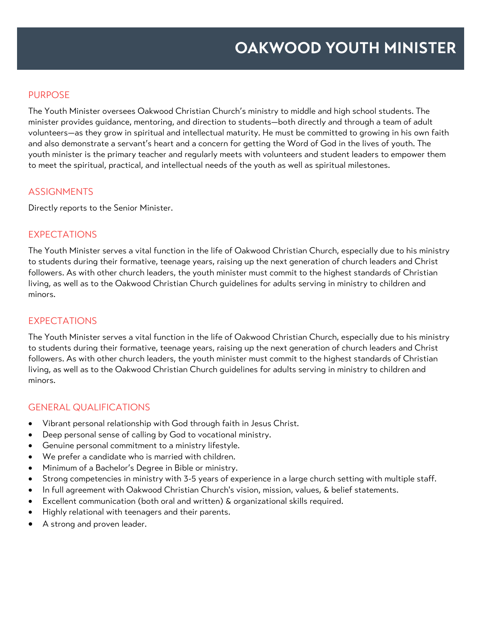### PURPOSE

The Youth Minister oversees Oakwood Christian Church's ministry to middle and high school students. The minister provides guidance, mentoring, and direction to students—both directly and through a team of adult volunteers—as they grow in spiritual and intellectual maturity. He must be committed to growing in his own faith and also demonstrate a servant's heart and a concern for getting the Word of God in the lives of youth. The youth minister is the primary teacher and regularly meets with volunteers and student leaders to empower them to meet the spiritual, practical, and intellectual needs of the youth as well as spiritual milestones.

### **ASSIGNMENTS**

Directly reports to the Senior Minister.

### EXPECTATIONS

The Youth Minister serves a vital function in the life of Oakwood Christian Church, especially due to his ministry to students during their formative, teenage years, raising up the next generation of church leaders and Christ followers. As with other church leaders, the youth minister must commit to the highest standards of Christian living, as well as to the Oakwood Christian Church guidelines for adults serving in ministry to children and minors.

### EXPECTATIONS

The Youth Minister serves a vital function in the life of Oakwood Christian Church, especially due to his ministry to students during their formative, teenage years, raising up the next generation of church leaders and Christ followers. As with other church leaders, the youth minister must commit to the highest standards of Christian living, as well as to the Oakwood Christian Church guidelines for adults serving in ministry to children and minors.

### GENERAL QUALIFICATIONS

- Vibrant personal relationship with God through faith in Jesus Christ.
- Deep personal sense of calling by God to vocational ministry.
- Genuine personal commitment to a ministry lifestyle.
- We prefer a candidate who is married with children.
- Minimum of a Bachelor's Degree in Bible or ministry.
- Strong competencies in ministry with 3-5 years of experience in a large church setting with multiple staff.
- In full agreement with Oakwood Christian Church's vision, mission, values, & belief statements.
- Excellent communication (both oral and written) & organizational skills required.
- Highly relational with teenagers and their parents.
- A strong and proven leader.